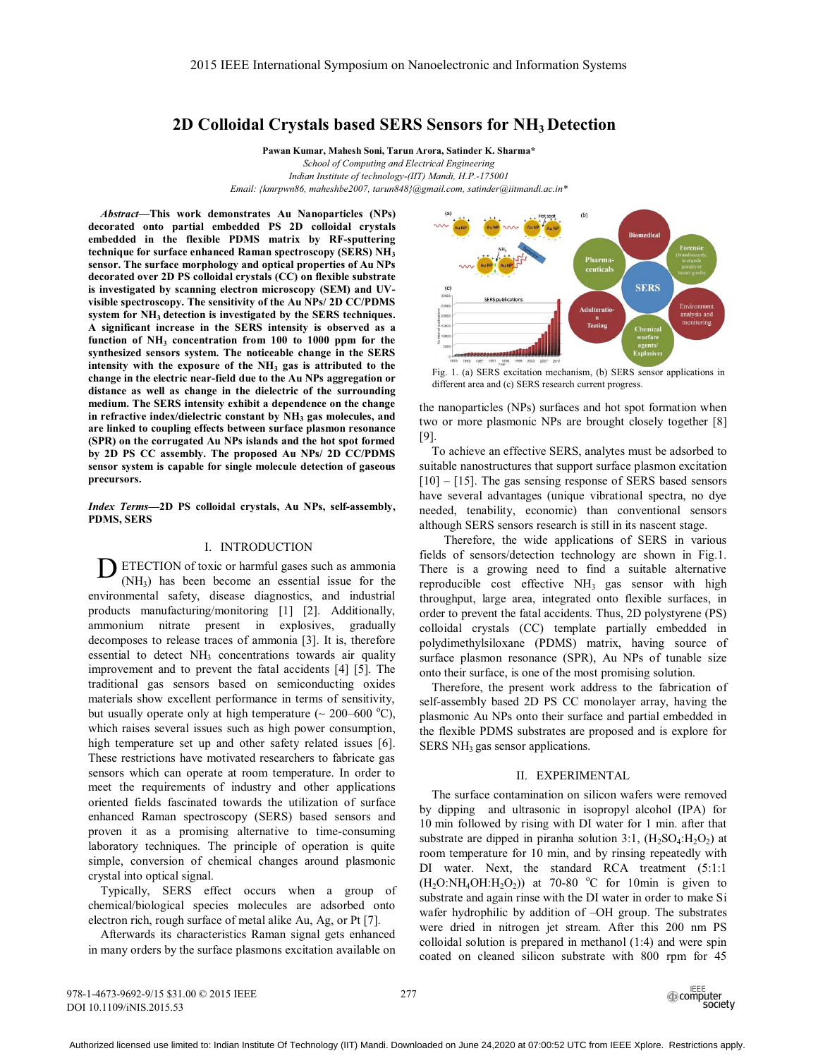# **2D Colloidal Crystals based SERS Sensors for NH3 Detection**

**Pawan Kumar, Mahesh Soni, Tarun Arora, Satinder K. Sharma\***  *School of Computing and Electrical Engineering Indian Institute of technology-(IIT) Mandi, H.P.-175001 Email: {kmrpwn86, maheshbe2007, tarun848}@gmail.com, satinder@iitmandi.ac.in\** 

*Abstract***—This work demonstrates Au Nanoparticles (NPs) decorated onto partial embedded PS 2D colloidal crystals embedded in the flexible PDMS matrix by RF-sputtering**  technique for surface enhanced Raman spectroscopy (SERS) NH<sub>3</sub> **sensor. The surface morphology and optical properties of Au NPs decorated over 2D PS colloidal crystals (CC) on flexible substrate is investigated by scanning electron microscopy (SEM) and UVvisible spectroscopy. The sensitivity of the Au NPs/ 2D CC/PDMS**  system for NH<sub>3</sub> detection is investigated by the SERS techniques. **A significant increase in the SERS intensity is observed as a**  function of NH<sub>3</sub> concentration from 100 to 1000 ppm for the **synthesized sensors system. The noticeable change in the SERS**  intensity with the exposure of the NH<sub>3</sub> gas is attributed to the **change in the electric near-field due to the Au NPs aggregation or distance as well as change in the dielectric of the surrounding medium. The SERS intensity exhibit a dependence on the change**  in refractive index/dielectric constant by NH<sub>3</sub> gas molecules, and **are linked to coupling effects between surface plasmon resonance (SPR) on the corrugated Au NPs islands and the hot spot formed by 2D PS CC assembly. The proposed Au NPs/ 2D CC/PDMS sensor system is capable for single molecule detection of gaseous precursors.** 

*Index Terms***—2D PS colloidal crystals, Au NPs, self-assembly, PDMS, SERS** 

## I. INTRODUCTION

 $\sum$  ETECTION of toxic or harmful gases such as ammonia<br>(NH<sub>2</sub>) has been become an essential issue for the (NH3) has been become an essential issue for the environmental safety, disease diagnostics, and industrial products manufacturing/monitoring [1] [2]. Additionally, ammonium nitrate present in explosives, gradually decomposes to release traces of ammonia [3]. It is, therefore essential to detect  $NH<sub>3</sub>$  concentrations towards air quality improvement and to prevent the fatal accidents [4] [5]. The traditional gas sensors based on semiconducting oxides materials show excellent performance in terms of sensitivity, but usually operate only at high temperature  $(\sim 200-600 \degree C)$ ,<br>which raises several issues such as high nower consumption which raises several issues such as high power consumption, high temperature set up and other safety related issues [6]. These restrictions have motivated researchers to fabricate gas sensors which can operate at room temperature. In order to meet the requirements of industry and other applications oriented fields fascinated towards the utilization of surface enhanced Raman spectroscopy (SERS) based sensors and proven it as a promising alternative to time-consuming laboratory techniques. The principle of operation is quite simple, conversion of chemical changes around plasmonic crystal into optical signal.

Typically, SERS effect occurs when a group of chemical/biological species molecules are adsorbed onto electron rich, rough surface of metal alike Au, Ag, or Pt [7].

Afterwards its characteristics Raman signal gets enhanced in many orders by the surface plasmons excitation available on



Fig. 1. (a) SERS excitation mechanism, (b) SERS sensor applications in different area and (c) SERS research current progress.

the nanoparticles (NPs) surfaces and hot spot formation when two or more plasmonic NPs are brought closely together [8] [9].

To achieve an effective SERS, analytes must be adsorbed to suitable nanostructures that support surface plasmon excitation [10] – [15]. The gas sensing response of SERS based sensors have several advantages (unique vibrational spectra, no dye needed, tenability, economic) than conventional sensors although SERS sensors research is still in its nascent stage.

 Therefore, the wide applications of SERS in various fields of sensors/detection technology are shown in Fig.1. There is a growing need to find a suitable alternative reproducible cost effective  $NH<sub>3</sub>$  gas sensor with high throughput, large area, integrated onto flexible surfaces, in order to prevent the fatal accidents. Thus, 2D polystyrene (PS) colloidal crystals (CC) template partially embedded in polydimethylsiloxane (PDMS) matrix, having source of surface plasmon resonance (SPR), Au NPs of tunable size onto their surface, is one of the most promising solution.

Therefore, the present work address to the fabrication of self-assembly based 2D PS CC monolayer array, having the plasmonic Au NPs onto their surface and partial embedded in the flexible PDMS substrates are proposed and is explore for  $SERS NH<sub>3</sub> gas sensor applications.$ 

#### II. EXPERIMENTAL

The surface contamination on silicon wafers were removed by dipping and ultrasonic in isopropyl alcohol (IPA) for 10 min followed by rising with DI water for 1 min. after that substrate are dipped in piranha solution 3:1,  $(H_2SO_4:H_2O_2)$  at room temperature for 10 min, and by rinsing repeatedly with DI water. Next, the standard RCA treatment (5:1:1  $(H<sub>2</sub>O:NH<sub>4</sub>OH:H<sub>2</sub>O<sub>2</sub>)$  at 70-80 °C for 10min is given to substrate and again rinse with the DI water in order to make Si wafer hydrophilic by addition of –OH group. The substrates were dried in nitrogen jet stream. After this 200 nm PS colloidal solution is prepared in methanol (1:4) and were spin coated on cleaned silicon substrate with 800 rpm for 45

978-1-4673-9692-9/15 \$31.00 © 2015 IEEE DOI 10.1109/iNIS.2015.53

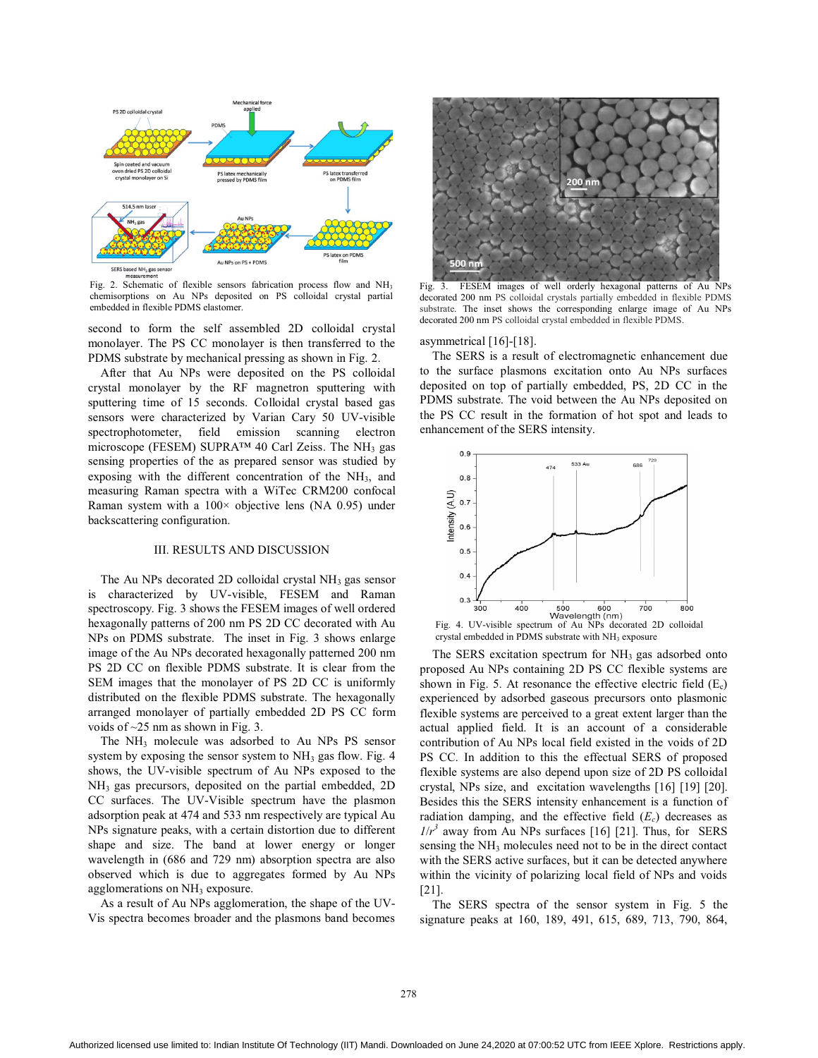

Fig. 2. Schematic of flexible sensors fabrication process flow and NH<sub>3</sub> chemisorptions on Au NPs deposited on PS colloidal crystal partial embedded in flexible PDMS elastomer.

second to form the self assembled 2D colloidal crystal monolayer. The PS CC monolayer is then transferred to the PDMS substrate by mechanical pressing as shown in Fig. 2.

After that Au NPs were deposited on the PS colloidal crystal monolayer by the RF magnetron sputtering with sputtering time of 15 seconds. Colloidal crystal based gas sensors were characterized by Varian Cary 50 UV-visible spectrophotometer, field emission scanning electron microscope (FESEM) SUPRA<sup>TM</sup> 40 Carl Zeiss. The NH<sub>3</sub> gas sensing properties of the as prepared sensor was studied by exposing with the different concentration of the  $NH<sub>3</sub>$ , and measuring Raman spectra with a WiTec CRM200 confocal Raman system with a  $100 \times$  objective lens (NA 0.95) under backscattering configuration.

### III. RESULTS AND DISCUSSION

The Au NPs decorated 2D colloidal crystal  $NH<sub>3</sub>$  gas sensor is characterized by UV-visible, FESEM and Raman spectroscopy. Fig. 3 shows the FESEM images of well ordered hexagonally patterns of 200 nm PS 2D CC decorated with Au NPs on PDMS substrate. The inset in Fig. 3 shows enlarge image of the Au NPs decorated hexagonally patterned 200 nm PS 2D CC on flexible PDMS substrate. It is clear from the SEM images that the monolayer of PS 2D CC is uniformly distributed on the flexible PDMS substrate. The hexagonally arranged monolayer of partially embedded 2D PS CC form voids of ~25 nm as shown in Fig. 3.

The NH<sub>3</sub> molecule was adsorbed to Au NPs PS sensor system by exposing the sensor system to  $NH<sub>3</sub>$  gas flow. Fig. 4 shows, the UV-visible spectrum of Au NPs exposed to the NH3 gas precursors, deposited on the partial embedded, 2D CC surfaces. The UV-Visible spectrum have the plasmon adsorption peak at 474 and 533 nm respectively are typical Au NPs signature peaks, with a certain distortion due to different shape and size. The band at lower energy or longer wavelength in (686 and 729 nm) absorption spectra are also observed which is due to aggregates formed by Au NPs agglomerations on NH<sub>3</sub> exposure.

As a result of Au NPs agglomeration, the shape of the UV-Vis spectra becomes broader and the plasmons band becomes



Fig. 3. FESEM images of well orderly hexagonal patterns of Au NPs decorated 200 nm PS colloidal crystals partially embedded in flexible PDMS substrate. The inset shows the corresponding enlarge image of Au NPs decorated 200 nm PS colloidal crystal embedded in flexible PDMS.

#### asymmetrical [16]-[18].

The SERS is a result of electromagnetic enhancement due to the surface plasmons excitation onto Au NPs surfaces deposited on top of partially embedded, PS, 2D CC in the PDMS substrate. The void between the Au NPs deposited on the PS CC result in the formation of hot spot and leads to enhancement of the SERS intensity.



The SERS excitation spectrum for  $NH<sub>3</sub>$  gas adsorbed onto proposed Au NPs containing 2D PS CC flexible systems are shown in Fig. 5. At resonance the effective electric field  $(E_c)$ experienced by adsorbed gaseous precursors onto plasmonic flexible systems are perceived to a great extent larger than the actual applied field. It is an account of a considerable contribution of Au NPs local field existed in the voids of 2D PS CC. In addition to this the effectual SERS of proposed flexible systems are also depend upon size of 2D PS colloidal crystal, NPs size, and excitation wavelengths [16] [19] [20]. Besides this the SERS intensity enhancement is a function of radiation damping, and the effective field  $(E_c)$  decreases as  $1/r^3$  away from Au NPs surfaces [16] [21]. Thus, for SERS sensing the NH3 molecules need not to be in the direct contact with the SERS active surfaces, but it can be detected anywhere within the vicinity of polarizing local field of NPs and voids [21].

The SERS spectra of the sensor system in Fig. 5 the signature peaks at 160, 189, 491, 615, 689, 713, 790, 864,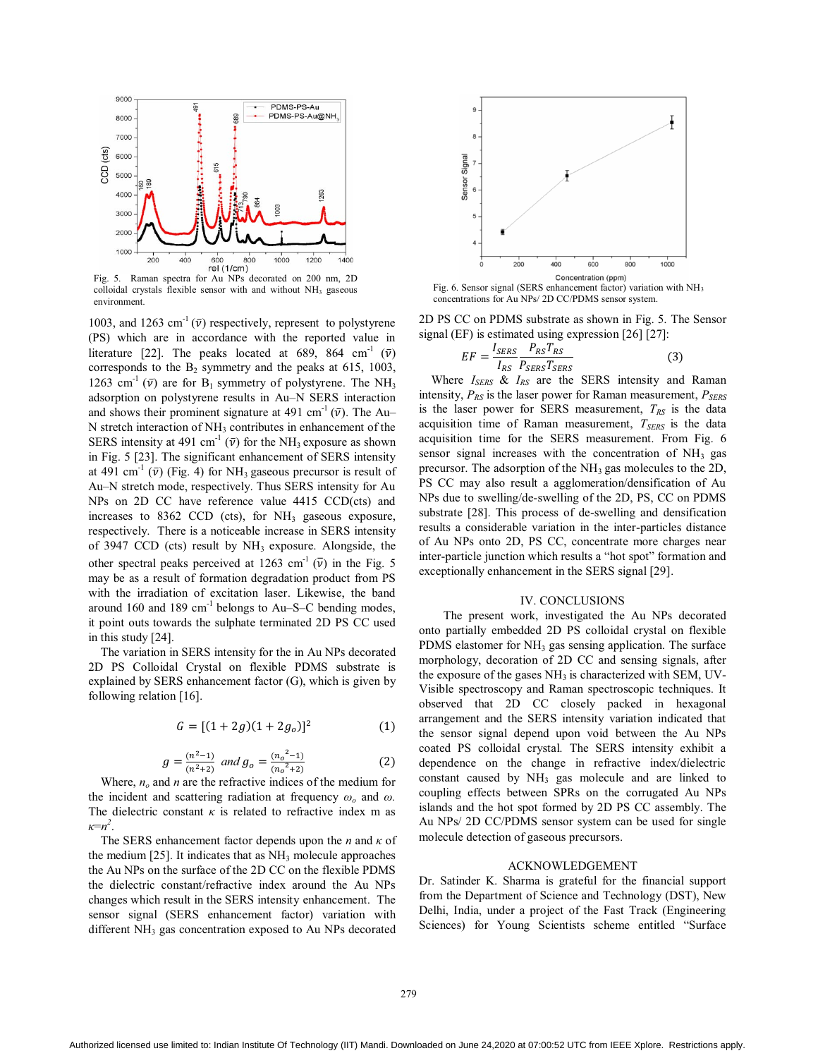

Fig. 5. Raman spectra for Au NPs decorated on 200 nm, 2D colloidal crystals flexible sensor with and without NH<sub>3</sub> gaseous environment.

1003, and 1263 cm<sup>-1</sup> ( $\bar{v}$ ) respectively, represent to polystyrene (PS) which are in accordance with the reported value in literature [22]. The peaks located at 689, 864 cm<sup>-1</sup> ( $\bar{v}$ ) corresponds to the  $B_2$  symmetry and the peaks at 615, 1003, 1263 cm<sup>-1</sup> ( $\bar{v}$ ) are for B<sub>1</sub> symmetry of polystyrene. The NH<sub>3</sub> adsorption on polystyrene results in Au–N SERS interaction and shows their prominent signature at  $491 \text{ cm}^{-1}$  ( $\bar{v}$ ). The Au–N stretch interaction of NH, contributes in enhancement of the N stretch interaction of  $NH<sub>3</sub>$  contributes in enhancement of the SERS intensity at 491 cm<sup>-1</sup> ( $\bar{v}$ ) for the NH<sub>3</sub> exposure as shown in Fig. 5 [23]. The significant enhancement of SERS intensity at 491 cm<sup>-1</sup> ( $\bar{v}$ ) (Fig. 4) for NH<sub>3</sub> gaseous precursor is result of Au–N stretch mode, respectively. Thus SERS intensity for Au NPs on 2D CC have reference value 4415 CCD(cts) and increases to  $8362$  CCD (cts), for NH<sub>3</sub> gaseous exposure, respectively. There is a noticeable increase in SERS intensity of 3947 CCD (cts) result by  $NH<sub>3</sub>$  exposure. Alongside, the other spectral peaks perceived at 1263 cm<sup>-1</sup> ( $\bar{v}$ ) in the Fig. 5 may be as a result of formation degradation product from PS with the irradiation of excitation laser. Likewise, the band around 160 and 189  $\text{cm}^{-1}$  belongs to Au–S–C bending modes, it point outs towards the sulphate terminated 2D PS CC used in this study [24].

The variation in SERS intensity for the in Au NPs decorated 2D PS Colloidal Crystal on flexible PDMS substrate is explained by SERS enhancement factor (G), which is given by following relation [16].

$$
G = [(1 + 2g)(1 + 2g_o)]^2
$$
 (1)

$$
g = \frac{(n^2 - 1)}{(n^2 + 2)} \text{ and } g_o = \frac{(n_o^2 - 1)}{(n_o^2 + 2)} \tag{2}
$$

Where,  $n<sub>o</sub>$  and *n* are the refractive indices of the medium for the incident and scattering radiation at frequency  $\omega$ <sub>o</sub> and  $\omega$ . The dielectric constant  $\kappa$  is related to refractive index m as *κ*=*n2* .

The SERS enhancement factor depends upon the *n* and *κ* of the medium  $[25]$ . It indicates that as  $NH<sub>3</sub>$  molecule approaches the Au NPs on the surface of the 2D CC on the flexible PDMS the dielectric constant/refractive index around the Au NPs changes which result in the SERS intensity enhancement. The sensor signal (SERS enhancement factor) variation with different NH<sub>3</sub> gas concentration exposed to Au NPs decorated



Fig. 6. Sensor signal (SERS enhancement factor) variation with NH<sub>3</sub> concentrations for Au NPs/ 2D CC/PDMS sensor system.

2D PS CC on PDMS substrate as shown in Fig. 5. The Sensor signal (EF) is estimated using expression [26] [27]:

$$
EF = \frac{I_{SERS}}{I_{RS}} \frac{P_{RS} T_{RS}}{P_{SERS} T_{SERS}}
$$
(3)

Where *I<sub>SERS</sub>* & *I<sub>RS</sub>* are the SERS intensity and Raman intensity,  $P_{RS}$  is the laser power for Raman measurement,  $P_{SERS}$ is the laser power for SERS measurement,  $T_{RS}$  is the data acquisition time of Raman measurement,  $T_{SERS}$  is the data acquisition time for the SERS measurement. From Fig. 6 sensor signal increases with the concentration of  $NH<sub>3</sub>$  gas precursor. The adsorption of the NH<sub>3</sub> gas molecules to the 2D, PS CC may also result a agglomeration/densification of Au NPs due to swelling/de-swelling of the 2D, PS, CC on PDMS substrate [28]. This process of de-swelling and densification results a considerable variation in the inter-particles distance of Au NPs onto 2D, PS CC, concentrate more charges near inter-particle junction which results a "hot spot" formation and exceptionally enhancement in the SERS signal [29].

#### IV. CONCLUSIONS

 The present work, investigated the Au NPs decorated onto partially embedded 2D PS colloidal crystal on flexible PDMS elastomer for  $NH<sub>3</sub>$  gas sensing application. The surface morphology, decoration of 2D CC and sensing signals, after the exposure of the gases  $NH<sub>3</sub>$  is characterized with SEM, UV-Visible spectroscopy and Raman spectroscopic techniques. It observed that 2D CC closely packed in hexagonal arrangement and the SERS intensity variation indicated that the sensor signal depend upon void between the Au NPs coated PS colloidal crystal. The SERS intensity exhibit a dependence on the change in refractive index/dielectric constant caused by NH3 gas molecule and are linked to coupling effects between SPRs on the corrugated Au NPs islands and the hot spot formed by 2D PS CC assembly. The Au NPs/ 2D CC/PDMS sensor system can be used for single molecule detection of gaseous precursors.

# ACKNOWLEDGEMENT

Dr. Satinder K. Sharma is grateful for the financial support from the Department of Science and Technology (DST), New Delhi, India, under a project of the Fast Track (Engineering Sciences) for Young Scientists scheme entitled "Surface